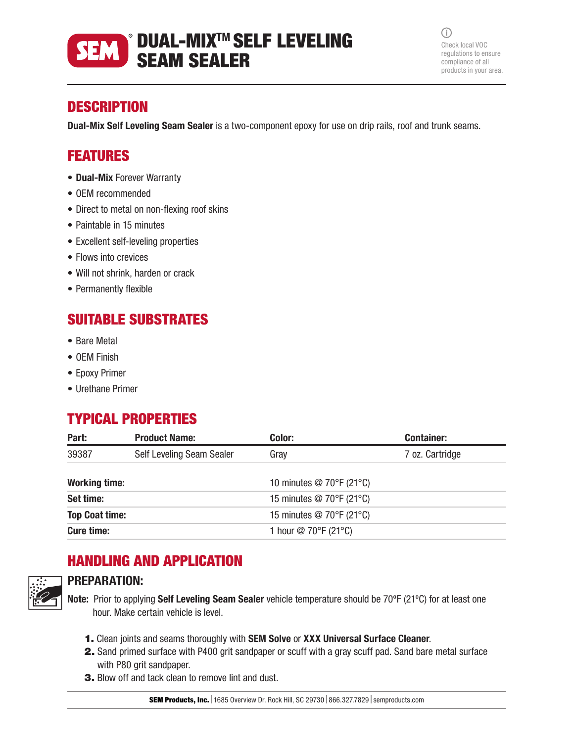### $^{\circ}$  DUAL-MIX™ SELF LEVELING **SEM** SEAM SEALER

 $\bigcirc$ Check local VOC regulations to ensure compliance of all products in your area.

## **DESCRIPTION**

Dual-Mix Self Leveling Seam Sealer is a two-component epoxy for use on drip rails, roof and trunk seams.

## FEATURES

- Dual-Mix Forever Warranty
- OEM recommended
- Direct to metal on non-flexing roof skins
- Paintable in 15 minutes
- Excellent self-leveling properties
- Flows into crevices
- Will not shrink, harden or crack
- Permanently flexible

# SUITABLE SUBSTRATES

- Bare Metal
- OEM Finish
- Epoxy Primer
- Urethane Primer

## TYPICAL PROPERTIES

| Part:                 | <b>Product Name:</b>      | Color:                                         | <b>Container:</b> |
|-----------------------|---------------------------|------------------------------------------------|-------------------|
| 39387                 | Self Leveling Seam Sealer | Gray                                           | 7 oz. Cartridge   |
| <b>Working time:</b>  |                           | 10 minutes $@$ 70°F (21°C)                     |                   |
| Set time:             |                           | 15 minutes $@$ 70 $\degree$ F (21 $\degree$ C) |                   |
| <b>Top Coat time:</b> |                           | 15 minutes $@$ 70 $\degree$ F (21 $\degree$ C) |                   |
| <b>Cure time:</b>     |                           | 1 hour $\textcircled{2}$ 70°F (21°C)           |                   |

# HANDLING AND APPLICATION



### PREPARATION:

Note: Prior to applying Self Leveling Seam Sealer vehicle temperature should be 70°F (21°C) for at least one hour. Make certain vehicle is level.

- 1. Clean joints and seams thoroughly with SEM Solve or XXX Universal Surface Cleaner.
- 2. Sand primed surface with P400 grit sandpaper or scuff with a gray scuff pad. Sand bare metal surface with P80 grit sandpaper.
- 3. Blow off and tack clean to remove lint and dust.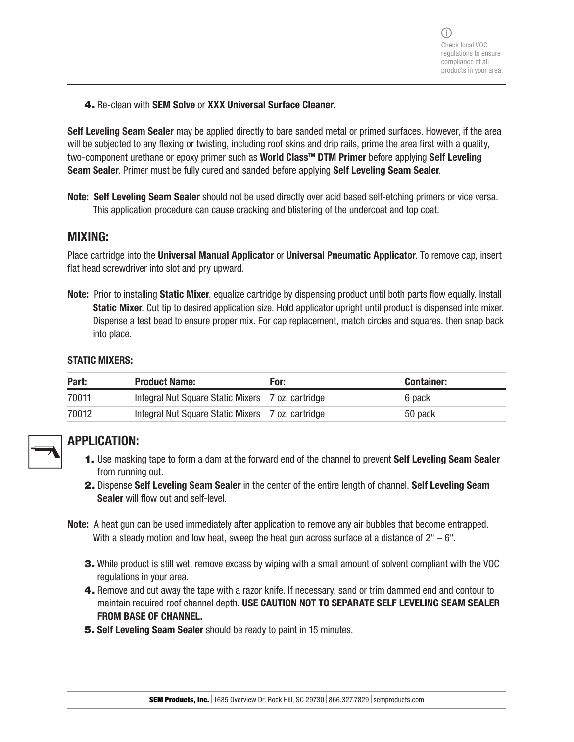4. Re-clean with SEM Solve or XXX Universal Surface Cleaner.

Self Leveling Seam Sealer may be applied directly to bare sanded metal or primed surfaces. However, if the area will be subjected to any flexing or twisting, including roof skins and drip rails, prime the area first with a quality, two-component urethane or epoxy primer such as World Class<sup>™</sup> DTM Primer before applying Self Leveling Seam Sealer. Primer must be fully cured and sanded before applying Self Leveling Seam Sealer.

Note: Self Leveling Seam Sealer should not be used directly over acid based self-etching primers or vice versa. This application procedure can cause cracking and blistering of the undercoat and top coat.

### MIXING:

Place cartridge into the Universal Manual Applicator or Universal Pneumatic Applicator. To remove cap, insert flat head screwdriver into slot and pry upward.

Note: Prior to installing Static Mixer, equalize cartridge by dispensing product until both parts flow equally. Install Static Mixer. Cut tip to desired application size. Hold applicator upright until product is dispensed into mixer. Dispense a test bead to ensure proper mix. For cap replacement, match circles and squares, then snap back into place.

#### STATIC MIXERS:

| Part: | <b>Product Name:</b>                              | For: | <b>Container:</b> |
|-------|---------------------------------------------------|------|-------------------|
| 70011 | Integral Nut Square Static Mixers 7 oz. cartridge |      | 6 pack            |
| 70012 | Integral Nut Square Static Mixers 7 oz. cartridge |      | 50 pack           |



### APPLICATION:

- 1. Use masking tape to form a dam at the forward end of the channel to prevent Self Leveling Seam Sealer from running out.
- 2. Dispense Self Leveling Seam Sealer in the center of the entire length of channel. Self Leveling Seam Sealer will flow out and self-level.
- Note: A heat gun can be used immediately after application to remove any air bubbles that become entrapped. With a steady motion and low heat, sweep the heat gun across surface at a distance of  $2" - 6"$ .
	- 3. While product is still wet, remove excess by wiping with a small amount of solvent compliant with the VOC regulations in your area.
	- 4. Remove and cut away the tape with a razor knife. If necessary, sand or trim dammed end and contour to maintain required roof channel depth. USE CAUTION NOT TO SEPARATE SELF LEVELING SEAM SEALER FROM BASE OF CHANNEL.
	- 5. Self Leveling Seam Sealer should be ready to paint in 15 minutes.